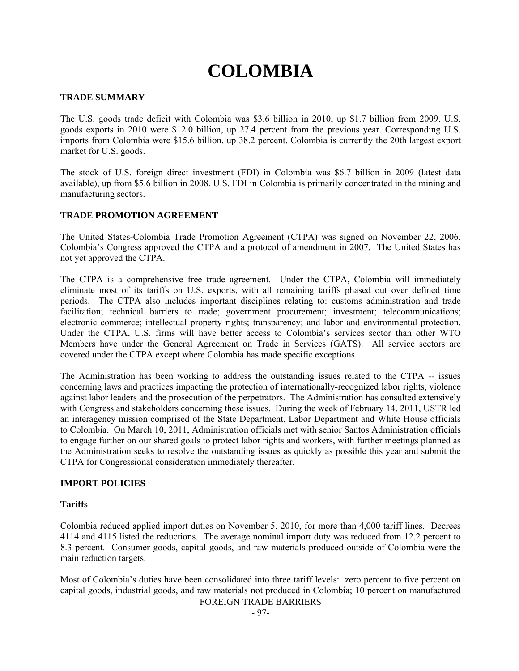# **COLOMBIA**

# **TRADE SUMMARY**

The U.S. goods trade deficit with Colombia was \$3.6 billion in 2010, up \$1.7 billion from 2009. U.S. goods exports in 2010 were \$12.0 billion, up 27.4 percent from the previous year. Corresponding U.S. imports from Colombia were \$15.6 billion, up 38.2 percent. Colombia is currently the 20th largest export market for U.S. goods.

The stock of U.S. foreign direct investment (FDI) in Colombia was \$6.7 billion in 2009 (latest data available), up from \$5.6 billion in 2008. U.S. FDI in Colombia is primarily concentrated in the mining and manufacturing sectors.

# **TRADE PROMOTION AGREEMENT**

The United States-Colombia Trade Promotion Agreement (CTPA) was signed on November 22, 2006. Colombia's Congress approved the CTPA and a protocol of amendment in 2007. The United States has not yet approved the CTPA.

The CTPA is a comprehensive free trade agreement. Under the CTPA, Colombia will immediately eliminate most of its tariffs on U.S. exports, with all remaining tariffs phased out over defined time periods. The CTPA also includes important disciplines relating to: customs administration and trade facilitation; technical barriers to trade; government procurement; investment; telecommunications; electronic commerce; intellectual property rights; transparency; and labor and environmental protection. Under the CTPA, U.S. firms will have better access to Colombia's services sector than other WTO Members have under the General Agreement on Trade in Services (GATS). All service sectors are covered under the CTPA except where Colombia has made specific exceptions.

The Administration has been working to address the outstanding issues related to the CTPA -- issues concerning laws and practices impacting the protection of internationally-recognized labor rights, violence against labor leaders and the prosecution of the perpetrators. The Administration has consulted extensively with Congress and stakeholders concerning these issues. During the week of February 14, 2011, USTR led an interagency mission comprised of the State Department, Labor Department and White House officials to Colombia. On March 10, 2011, Administration officials met with senior Santos Administration officials to engage further on our shared goals to protect labor rights and workers, with further meetings planned as the Administration seeks to resolve the outstanding issues as quickly as possible this year and submit the CTPA for Congressional consideration immediately thereafter.

## **IMPORT POLICIES**

## **Tariffs**

Colombia reduced applied import duties on November 5, 2010, for more than 4,000 tariff lines. Decrees 4114 and 4115 listed the reductions. The average nominal import duty was reduced from 12.2 percent to 8.3 percent. Consumer goods, capital goods, and raw materials produced outside of Colombia were the main reduction targets.

Most of Colombia's duties have been consolidated into three tariff levels: zero percent to five percent on capital goods, industrial goods, and raw materials not produced in Colombia; 10 percent on manufactured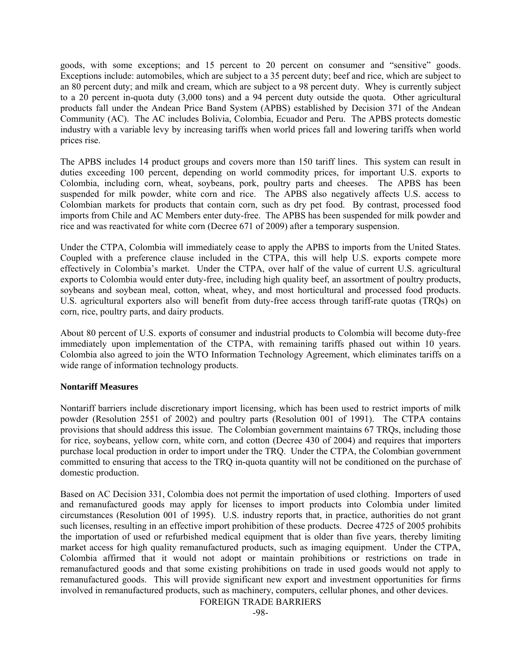goods, with some exceptions; and 15 percent to 20 percent on consumer and "sensitive" goods. Exceptions include: automobiles, which are subject to a 35 percent duty; beef and rice, which are subject to an 80 percent duty; and milk and cream, which are subject to a 98 percent duty. Whey is currently subject to a 20 percent in-quota duty (3,000 tons) and a 94 percent duty outside the quota. Other agricultural products fall under the Andean Price Band System (APBS) established by Decision 371 of the Andean Community (AC). The AC includes Bolivia, Colombia, Ecuador and Peru. The APBS protects domestic industry with a variable levy by increasing tariffs when world prices fall and lowering tariffs when world prices rise.

The APBS includes 14 product groups and covers more than 150 tariff lines. This system can result in duties exceeding 100 percent, depending on world commodity prices, for important U.S. exports to Colombia, including corn, wheat, soybeans, pork, poultry parts and cheeses. The APBS has been suspended for milk powder, white corn and rice. The APBS also negatively affects U.S. access to Colombian markets for products that contain corn, such as dry pet food. By contrast, processed food imports from Chile and AC Members enter duty-free. The APBS has been suspended for milk powder and rice and was reactivated for white corn (Decree 671 of 2009) after a temporary suspension.

Under the CTPA, Colombia will immediately cease to apply the APBS to imports from the United States. Coupled with a preference clause included in the CTPA, this will help U.S. exports compete more effectively in Colombia's market. Under the CTPA, over half of the value of current U.S. agricultural exports to Colombia would enter duty-free, including high quality beef, an assortment of poultry products, soybeans and soybean meal, cotton, wheat, whey, and most horticultural and processed food products. U.S. agricultural exporters also will benefit from duty-free access through tariff-rate quotas (TRQs) on corn, rice, poultry parts, and dairy products.

About 80 percent of U.S. exports of consumer and industrial products to Colombia will become duty-free immediately upon implementation of the CTPA, with remaining tariffs phased out within 10 years. Colombia also agreed to join the WTO Information Technology Agreement, which eliminates tariffs on a wide range of information technology products.

## **Nontariff Measures**

Nontariff barriers include discretionary import licensing, which has been used to restrict imports of milk powder (Resolution 2551 of 2002) and poultry parts (Resolution 001 of 1991). The CTPA contains provisions that should address this issue. The Colombian government maintains 67 TRQs, including those for rice, soybeans, yellow corn, white corn, and cotton (Decree 430 of 2004) and requires that importers purchase local production in order to import under the TRQ. Under the CTPA, the Colombian government committed to ensuring that access to the TRQ in-quota quantity will not be conditioned on the purchase of domestic production.

Based on AC Decision 331, Colombia does not permit the importation of used clothing. Importers of used and remanufactured goods may apply for licenses to import products into Colombia under limited circumstances (Resolution 001 of 1995). U.S. industry reports that, in practice, authorities do not grant such licenses, resulting in an effective import prohibition of these products. Decree 4725 of 2005 prohibits the importation of used or refurbished medical equipment that is older than five years, thereby limiting market access for high quality remanufactured products, such as imaging equipment. Under the CTPA, Colombia affirmed that it would not adopt or maintain prohibitions or restrictions on trade in remanufactured goods and that some existing prohibitions on trade in used goods would not apply to remanufactured goods. This will provide significant new export and investment opportunities for firms involved in remanufactured products, such as machinery, computers, cellular phones, and other devices.

FOREIGN TRADE BARRIERS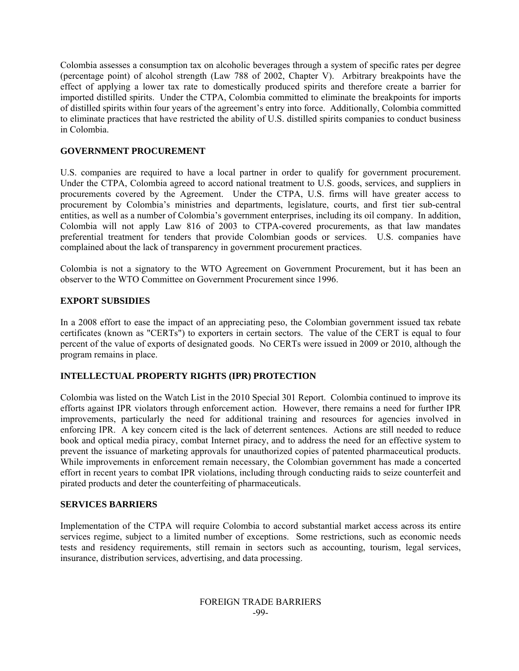Colombia assesses a consumption tax on alcoholic beverages through a system of specific rates per degree (percentage point) of alcohol strength (Law 788 of 2002, Chapter V). Arbitrary breakpoints have the effect of applying a lower tax rate to domestically produced spirits and therefore create a barrier for imported distilled spirits. Under the CTPA, Colombia committed to eliminate the breakpoints for imports of distilled spirits within four years of the agreement's entry into force. Additionally, Colombia committed to eliminate practices that have restricted the ability of U.S. distilled spirits companies to conduct business in Colombia.

# **GOVERNMENT PROCUREMENT**

U.S. companies are required to have a local partner in order to qualify for government procurement. Under the CTPA, Colombia agreed to accord national treatment to U.S. goods, services, and suppliers in procurements covered by the Agreement. Under the CTPA, U.S. firms will have greater access to procurement by Colombia's ministries and departments, legislature, courts, and first tier sub-central entities, as well as a number of Colombia's government enterprises, including its oil company. In addition, Colombia will not apply Law 816 of 2003 to CTPA-covered procurements, as that law mandates preferential treatment for tenders that provide Colombian goods or services. U.S. companies have complained about the lack of transparency in government procurement practices.

Colombia is not a signatory to the WTO Agreement on Government Procurement, but it has been an observer to the WTO Committee on Government Procurement since 1996.

# **EXPORT SUBSIDIES**

In a 2008 effort to ease the impact of an appreciating peso, the Colombian government issued tax rebate certificates (known as "CERTs") to exporters in certain sectors. The value of the CERT is equal to four percent of the value of exports of designated goods. No CERTs were issued in 2009 or 2010, although the program remains in place.

## **INTELLECTUAL PROPERTY RIGHTS (IPR) PROTECTION**

Colombia was listed on the Watch List in the 2010 Special 301 Report. Colombia continued to improve its efforts against IPR violators through enforcement action. However, there remains a need for further IPR improvements, particularly the need for additional training and resources for agencies involved in enforcing IPR. A key concern cited is the lack of deterrent sentences. Actions are still needed to reduce book and optical media piracy, combat Internet piracy, and to address the need for an effective system to prevent the issuance of marketing approvals for unauthorized copies of patented pharmaceutical products. While improvements in enforcement remain necessary, the Colombian government has made a concerted effort in recent years to combat IPR violations, including through conducting raids to seize counterfeit and pirated products and deter the counterfeiting of pharmaceuticals.

## **SERVICES BARRIERS**

Implementation of the CTPA will require Colombia to accord substantial market access across its entire services regime, subject to a limited number of exceptions. Some restrictions, such as economic needs tests and residency requirements, still remain in sectors such as accounting, tourism, legal services, insurance, distribution services, advertising, and data processing.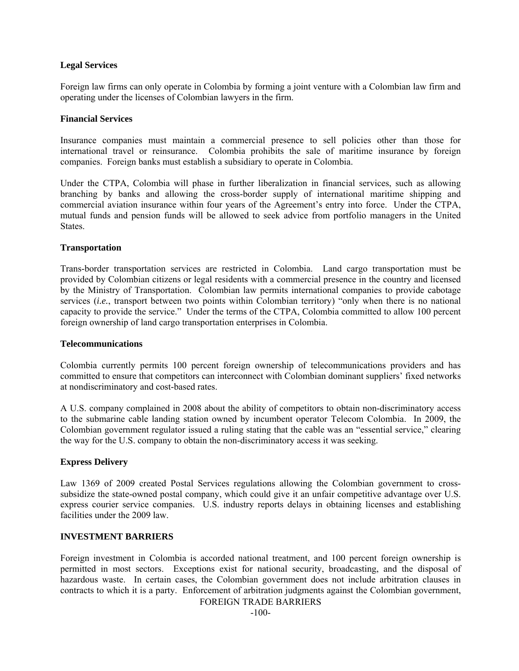## **Legal Services**

Foreign law firms can only operate in Colombia by forming a joint venture with a Colombian law firm and operating under the licenses of Colombian lawyers in the firm.

#### **Financial Services**

Insurance companies must maintain a commercial presence to sell policies other than those for international travel or reinsurance. Colombia prohibits the sale of maritime insurance by foreign companies. Foreign banks must establish a subsidiary to operate in Colombia.

Under the CTPA, Colombia will phase in further liberalization in financial services, such as allowing branching by banks and allowing the cross-border supply of international maritime shipping and commercial aviation insurance within four years of the Agreement's entry into force. Under the CTPA, mutual funds and pension funds will be allowed to seek advice from portfolio managers in the United **States** 

## **Transportation**

Trans-border transportation services are restricted in Colombia. Land cargo transportation must be provided by Colombian citizens or legal residents with a commercial presence in the country and licensed by the Ministry of Transportation. Colombian law permits international companies to provide cabotage services *(i.e.*, transport between two points within Colombian territory) "only when there is no national capacity to provide the service." Under the terms of the CTPA, Colombia committed to allow 100 percent foreign ownership of land cargo transportation enterprises in Colombia.

#### **Telecommunications**

Colombia currently permits 100 percent foreign ownership of telecommunications providers and has committed to ensure that competitors can interconnect with Colombian dominant suppliers' fixed networks at nondiscriminatory and cost-based rates.

A U.S. company complained in 2008 about the ability of competitors to obtain non-discriminatory access to the submarine cable landing station owned by incumbent operator Telecom Colombia. In 2009, the Colombian government regulator issued a ruling stating that the cable was an "essential service," clearing the way for the U.S. company to obtain the non-discriminatory access it was seeking.

## **Express Delivery**

Law 1369 of 2009 created Postal Services regulations allowing the Colombian government to crosssubsidize the state-owned postal company, which could give it an unfair competitive advantage over U.S. express courier service companies. U.S. industry reports delays in obtaining licenses and establishing facilities under the 2009 law.

#### **INVESTMENT BARRIERS**

Foreign investment in Colombia is accorded national treatment, and 100 percent foreign ownership is permitted in most sectors. Exceptions exist for national security, broadcasting, and the disposal of hazardous waste. In certain cases, the Colombian government does not include arbitration clauses in contracts to which it is a party. Enforcement of arbitration judgments against the Colombian government,

FOREIGN TRADE BARRIERS